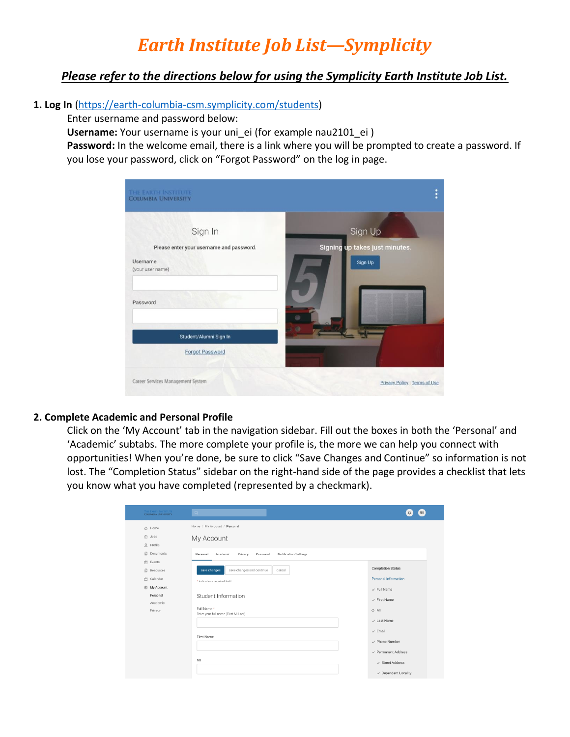# *Earth Institute Job List—Symplicity*

## *Please refer to the directions below for using the Symplicity Earth Institute Job List.*

#### **1. Log In** [\(https://earth-columbia-csm.symplicity.com/students\)](https://earth-columbia-csm.symplicity.com/students)

Enter username and password below:

**Username:** Your username is your uni ei (for example nau2101 ei )

**Password:** In the welcome email, there is a link where you will be prompted to create a password. If you lose your password, click on "Forgot Password" on the log in page.

| THE EARTH INSTITUTE<br><b>COLUMBIA UNIVERSITY</b>                                               | ö                                                    |
|-------------------------------------------------------------------------------------------------|------------------------------------------------------|
| Sign In<br>Please enter your username and password.<br>Username<br>(your user name)<br>Password | Sign Up<br>Signing up takes just minutes.<br>Sign Up |
| Student/Alumni Sign In<br><b>Forgot Password</b>                                                | $\circ$                                              |
| Career Services Management System                                                               | Privacy Policy   Terms of Use                        |

#### **2. Complete Academic and Personal Profile**

Click on the 'My Account' tab in the navigation sidebar. Fill out the boxes in both the 'Personal' and 'Academic' subtabs. The more complete your profile is, the more we can help you connect with opportunities! When you're done, be sure to click "Save Changes and Continue" so information is not lost. The "Completion Status" sidebar on the right-hand side of the page provides a checklist that lets you know what you have completed (represented by a checkmark).

| THE EARTH INSTITUTE<br><b>COLUMBIA UNIVERSITY</b> | Q                                                                                                                                  | NU<br>Δ                                                        |
|---------------------------------------------------|------------------------------------------------------------------------------------------------------------------------------------|----------------------------------------------------------------|
| <b>△</b> Home<br>曲 Jobs<br>$\Omega$ Profile       | Home / My Account / Personal<br>My Account                                                                                         |                                                                |
| 回<br>Documents<br>曲 Events<br>旧<br>Resources      | Password<br><b>Notification Settings</b><br>Academic<br>Privacy<br>Personal<br>save changes and continue<br>save changes<br>cancel | <b>Completion Status</b>                                       |
| □ Calendar<br>@ My Account                        | * indicates a required field                                                                                                       | Personal Information<br>$\checkmark$ Full Name                 |
| Personal<br>Academic<br>Privacy                   | Student Information<br>Full Name*<br>Enter your full name (First Mi Last).                                                         | $\checkmark$ First Name<br>$\circ$ MI                          |
|                                                   |                                                                                                                                    | $\checkmark$ Last Name<br>$\checkmark$ Email                   |
|                                                   | First Name                                                                                                                         | $\checkmark$ Phone Number<br>$\checkmark$ Permanent Address    |
|                                                   | MI                                                                                                                                 | $\checkmark$ Street Address<br>$\checkmark$ Dependent Locality |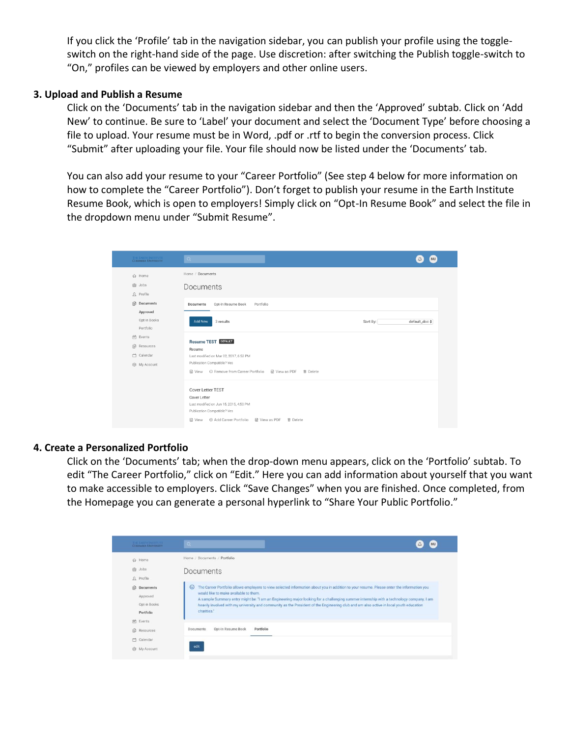If you click the 'Profile' tab in the navigation sidebar, you can publish your profile using the toggleswitch on the right-hand side of the page. Use discretion: after switching the Publish toggle-switch to "On," profiles can be viewed by employers and other online users.

#### **3. Upload and Publish a Resume**

Click on the 'Documents' tab in the navigation sidebar and then the 'Approved' subtab. Click on 'Add New' to continue. Be sure to 'Label' your document and select the 'Document Type' before choosing a file to upload. Your resume must be in Word, .pdf or .rtf to begin the conversion process. Click "Submit" after uploading your file. Your file should now be listed under the 'Documents' tab.

You can also add your resume to your "Career Portfolio" (See step 4 below for more information on how to complete the "Career Portfolio"). Don't forget to publish your resume in the Earth Institute Resume Book, which is open to employers! Simply click on "Opt-In Resume Book" and select the file in the dropdown menu under "Submit Resume".



#### **4. Create a Personalized Portfolio**

Click on the 'Documents' tab; when the drop-down menu appears, click on the 'Portfolio' subtab. To edit "The Career Portfolio," click on "Edit." Here you can add information about yourself that you want to make accessible to employers. Click "Save Changes" when you are finished. Once completed, from the Homepage you can generate a personal hyperlink to "Share Your Public Portfolio."

| THE EXITH INSTITUTE<br><b>COLUMBIA UNIVERSITY</b>                                                  | $\mathbf{Q}$<br>NU<br>Δ                                                                                                                                                                                                                                                                                                                                                                                                                                                                           |
|----------------------------------------------------------------------------------------------------|---------------------------------------------------------------------------------------------------------------------------------------------------------------------------------------------------------------------------------------------------------------------------------------------------------------------------------------------------------------------------------------------------------------------------------------------------------------------------------------------------|
| ∩ Home                                                                                             | Home / Documents / Portfolio                                                                                                                                                                                                                                                                                                                                                                                                                                                                      |
| <b>白 Jobs</b><br>$\Omega$ Profile                                                                  | Documents                                                                                                                                                                                                                                                                                                                                                                                                                                                                                         |
| $\begin{array}{c} \hline \end{array}$<br>Documents<br>Approved<br>Opt-in Books<br><b>Portfolio</b> | The Career Portfolio allows employers to view selected information about you in addition to your resume. Please enter the information you<br>$\circ$<br>would like to make available to them.<br>A sample Summary entry might be: "I am an Engineering major looking for a challenging summer internship with a technology company. I am<br>heavily involved with my university and community as the President of the Engineering club and am also active in local youth education<br>charities." |
| 尚<br>Events<br>$\mathbf{0}$<br>Resources                                                           | Opt-In Resume Book<br>Portfolio<br>Documents                                                                                                                                                                                                                                                                                                                                                                                                                                                      |
| m<br>Calendar<br><b>8</b> My Account                                                               | edit                                                                                                                                                                                                                                                                                                                                                                                                                                                                                              |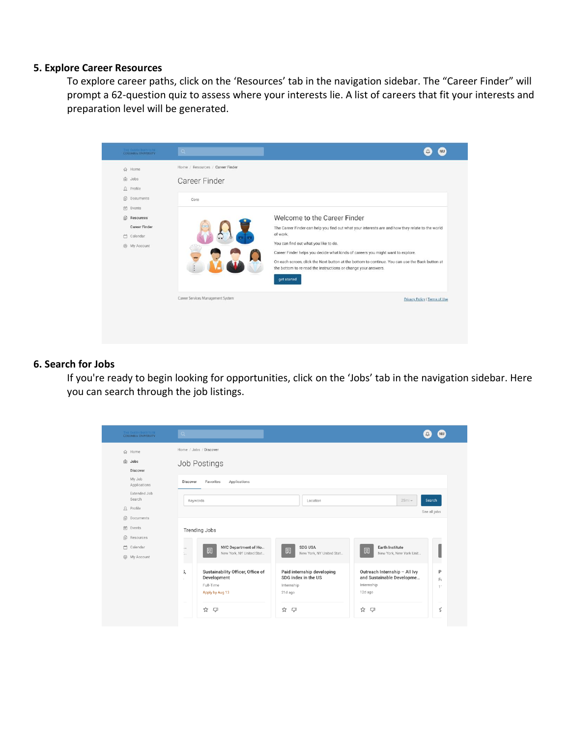#### **5. Explore Career Resources**

To explore career paths, click on the 'Resources' tab in the navigation sidebar. The "Career Finder" will prompt a 62-question quiz to assess where your interests lie. A list of careers that fit your interests and preparation level will be generated.



#### **6. Search for Jobs**

If you're ready to begin looking for opportunities, click on the 'Jobs' tab in the navigation sidebar. Here you can search through the job listings.

| THE EARTH INSTITUTE<br><b>COLUMBIA UNIVERSITY</b> | Q                                                                                      |                                                                            |                                                                                     | NU                     |
|---------------------------------------------------|----------------------------------------------------------------------------------------|----------------------------------------------------------------------------|-------------------------------------------------------------------------------------|------------------------|
| $\hat{w}$<br>Home                                 | Home / Jobs / Discover                                                                 |                                                                            |                                                                                     |                        |
| <b>命</b> Jobs<br>Discover                         | Job Postings                                                                           |                                                                            |                                                                                     |                        |
| My Job<br>Applications                            | Favorites<br>Discover<br>Applications                                                  |                                                                            |                                                                                     |                        |
| Extended Job<br>Search                            | 25mi<br>Search<br>Keywords<br>Location                                                 |                                                                            |                                                                                     |                        |
| $\Omega$ Profile                                  |                                                                                        | See all jobs                                                               |                                                                                     |                        |
| <b>B</b> Documents                                |                                                                                        |                                                                            |                                                                                     |                        |
| in Events                                         | <b>Trending Jobs</b>                                                                   |                                                                            |                                                                                     |                        |
| ß<br>Resources                                    |                                                                                        |                                                                            |                                                                                     |                        |
| □ Calendar                                        | NYC Department of Ho<br><br>圆                                                          | <b>SDG USA</b><br>圆                                                        | Earth Institute<br>圆                                                                |                        |
| @ My Account                                      | New York, NY United Stat<br>$\frac{1}{2}$                                              | New York, NY United Stat                                                   | New York, New York Unit                                                             |                        |
|                                                   | Sustainability Officer, Office of<br>3,<br>Development<br>Full-Time<br>Apply by Aug 13 | Paid internship developing<br>SDG index in the US<br>Internship<br>21d ago | Outreach Internship - All Ivy<br>and Sustainable Developme<br>Internship<br>12d ago | P<br>Ft<br>$1^{\circ}$ |
|                                                   | ☆<br>$\Box$                                                                            | ☆<br><b>C</b>                                                              | ☆<br>$\Box$                                                                         | 亡                      |